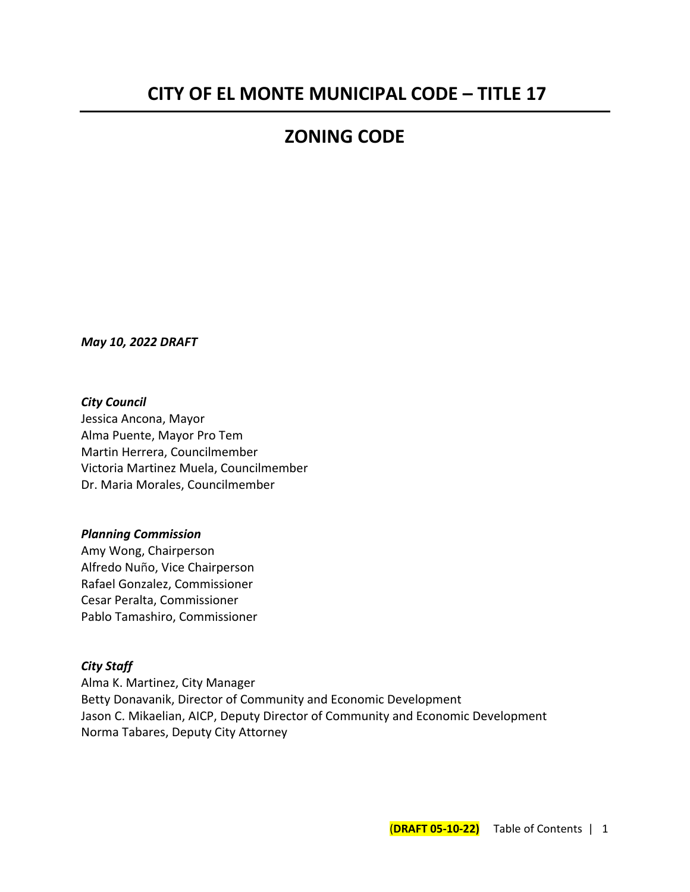# **ZONING CODE**

*May 10, 2022 DRAFT*

*City Council* Jessica Ancona, Mayor Alma Puente, Mayor Pro Tem Martin Herrera, Councilmember Victoria Martinez Muela, Councilmember Dr. Maria Morales, Councilmember

## *Planning Commission*

Amy Wong, Chairperson Alfredo Nuño, Vice Chairperson Rafael Gonzalez, Commissioner Cesar Peralta, Commissioner Pablo Tamashiro, Commissioner

# *City Staff*

Alma K. Martinez, City Manager Betty Donavanik, Director of Community and Economic Development Jason C. Mikaelian, AICP, Deputy Director of Community and Economic Development Norma Tabares, Deputy City Attorney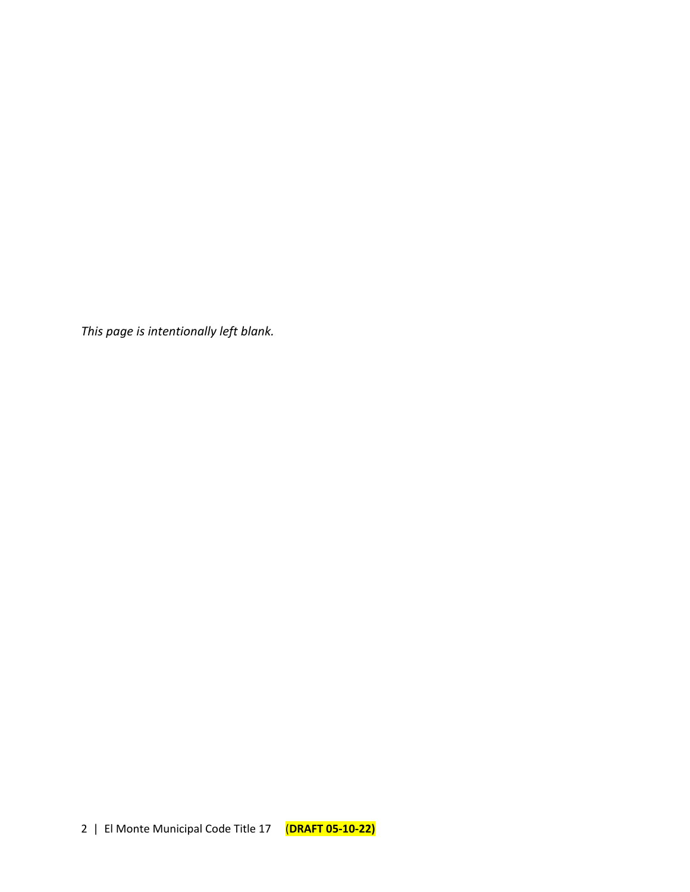*This page is intentionally left blank.*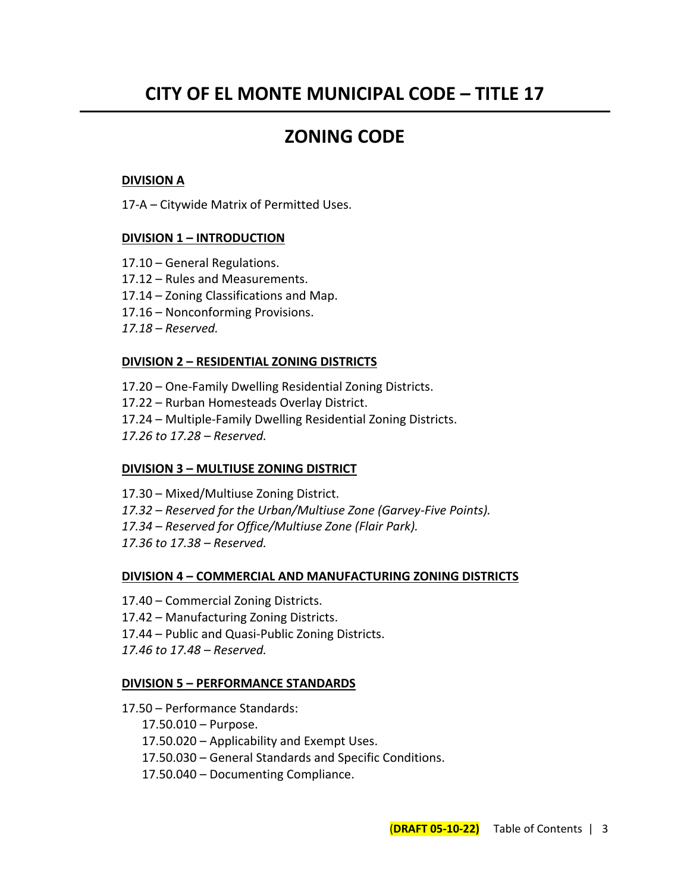# **ZONING CODE**

# **DIVISION A**

17-A – Citywide Matrix of Permitted Uses.

# **DIVISION 1 – INTRODUCTION**

17.10 – General Regulations. 17.12 – Rules and Measurements. 17.14 – Zoning Classifications and Map. 17.16 – Nonconforming Provisions. *17.18 – Reserved.*

# **DIVISION 2 – RESIDENTIAL ZONING DISTRICTS**

17.20 – One-Family Dwelling Residential Zoning Districts. 17.22 – Rurban Homesteads Overlay District. 17.24 – Multiple-Family Dwelling Residential Zoning Districts. *17.26 to 17.28 – Reserved.*

# **DIVISION 3 – MULTIUSE ZONING DISTRICT**

17.30 – Mixed/Multiuse Zoning District. *17.32 – Reserved for the Urban/Multiuse Zone (Garvey-Five Points). 17.34 – Reserved for Office/Multiuse Zone (Flair Park). 17.36 to 17.38 – Reserved.*

# **DIVISION 4 – COMMERCIAL AND MANUFACTURING ZONING DISTRICTS**

17.40 – Commercial Zoning Districts. 17.42 – Manufacturing Zoning Districts. 17.44 – Public and Quasi-Public Zoning Districts. *17.46 to 17.48 – Reserved.*

# **DIVISION 5 – PERFORMANCE STANDARDS**

- 17.50 Performance Standards:
	- 17.50.010 Purpose.
	- 17.50.020 Applicability and Exempt Uses.
	- 17.50.030 General Standards and Specific Conditions.
	- 17.50.040 Documenting Compliance.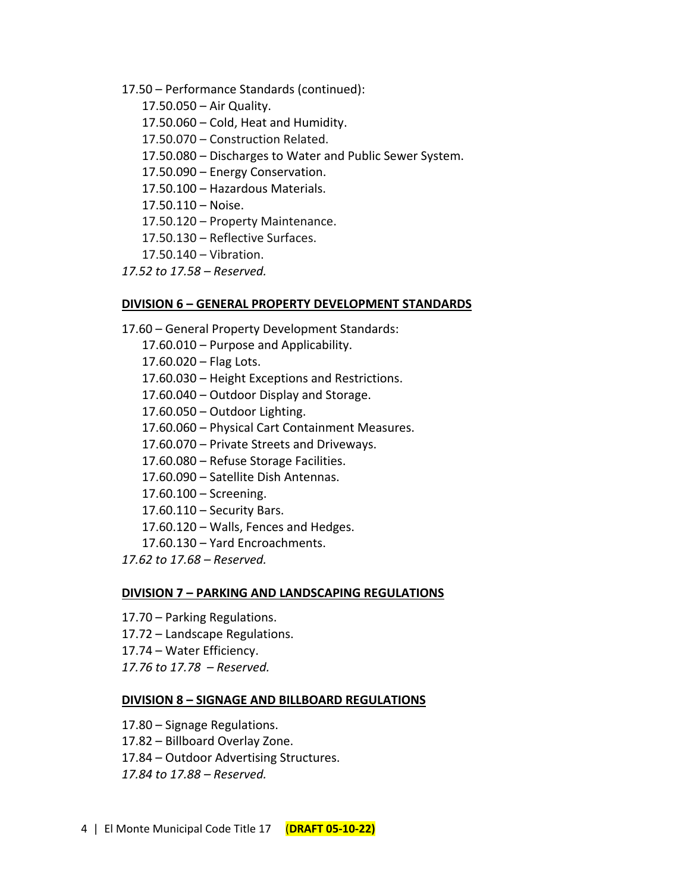- 17.50 Performance Standards (continued):
	- 17.50.050 Air Quality.
	- 17.50.060 Cold, Heat and Humidity.
	- 17.50.070 Construction Related.
	- 17.50.080 Discharges to Water and Public Sewer System.
	- 17.50.090 Energy Conservation.
	- 17.50.100 Hazardous Materials.
	- 17.50.110 Noise.
	- 17.50.120 Property Maintenance.
	- 17.50.130 Reflective Surfaces.
	- 17.50.140 Vibration.
- *17.52 to 17.58 – Reserved.*

## **DIVISION 6 – GENERAL PROPERTY DEVELOPMENT STANDARDS**

17.60 – General Property Development Standards:

17.60.010 – Purpose and Applicability.

17.60.020 – Flag Lots.

17.60.030 – Height Exceptions and Restrictions.

17.60.040 – Outdoor Display and Storage.

17.60.050 – Outdoor Lighting.

17.60.060 – Physical Cart Containment Measures.

- 17.60.070 Private Streets and Driveways.
- 17.60.080 Refuse Storage Facilities.
- 17.60.090 Satellite Dish Antennas.
- 17.60.100 Screening.
- 17.60.110 Security Bars.
- 17.60.120 Walls, Fences and Hedges.
- 17.60.130 Yard Encroachments.

*17.62 to 17.68 – Reserved.*

## **DIVISION 7 – PARKING AND LANDSCAPING REGULATIONS**

- 17.70 Parking Regulations.
- 17.72 Landscape Regulations.
- 17.74 Water Efficiency.

*17.76 to 17.78 – Reserved.*

## **DIVISION 8 – SIGNAGE AND BILLBOARD REGULATIONS**

- 17.80 Signage Regulations.
- 17.82 Billboard Overlay Zone.
- 17.84 Outdoor Advertising Structures.
- *17.84 to 17.88 – Reserved.*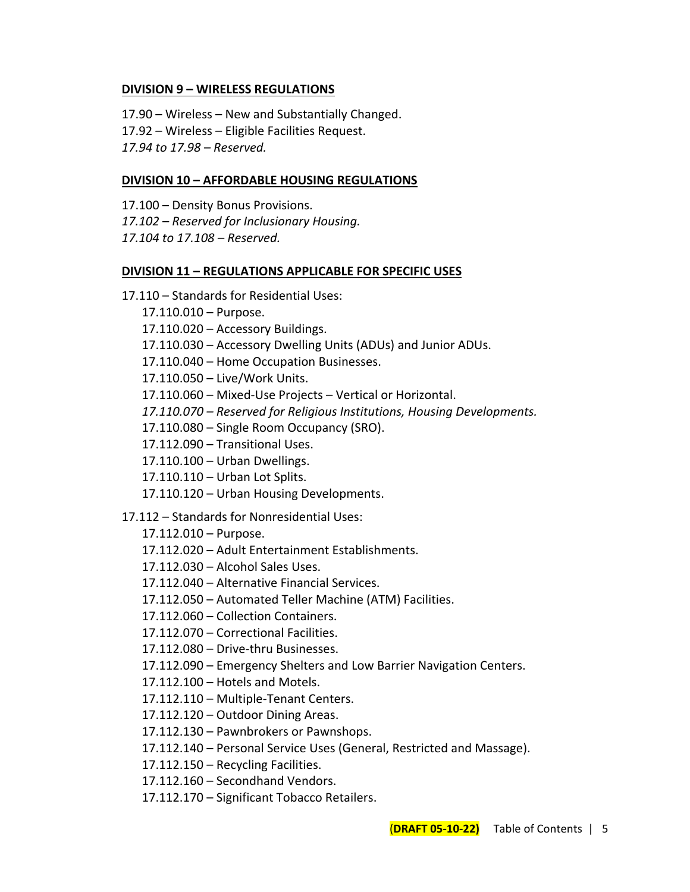# **DIVISION 9 – WIRELESS REGULATIONS**

17.90 – Wireless – New and Substantially Changed. 17.92 – Wireless – Eligible Facilities Request. *17.94 to 17.98 – Reserved.*

## **DIVISION 10 – AFFORDABLE HOUSING REGULATIONS**

17.100 – Density Bonus Provisions. *17.102 – Reserved for Inclusionary Housing. 17.104 to 17.108 – Reserved.*

#### **DIVISION 11 – REGULATIONS APPLICABLE FOR SPECIFIC USES**

17.110 – Standards for Residential Uses:

17.110.010 – Purpose.

17.110.020 – Accessory Buildings.

17.110.030 – Accessory Dwelling Units (ADUs) and Junior ADUs.

17.110.040 – Home Occupation Businesses.

17.110.050 – Live/Work Units.

17.110.060 – Mixed-Use Projects – Vertical or Horizontal.

*17.110.070 – Reserved for Religious Institutions, Housing Developments.*

17.110.080 – Single Room Occupancy (SRO).

17.112.090 – Transitional Uses.

17.110.100 – Urban Dwellings.

17.110.110 – Urban Lot Splits.

17.110.120 – Urban Housing Developments.

17.112 – Standards for Nonresidential Uses:

17.112.010 – Purpose.

17.112.020 – Adult Entertainment Establishments.

17.112.030 – Alcohol Sales Uses.

17.112.040 – Alternative Financial Services.

17.112.050 – Automated Teller Machine (ATM) Facilities.

17.112.060 – Collection Containers.

17.112.070 – Correctional Facilities.

17.112.080 – Drive-thru Businesses.

17.112.090 – Emergency Shelters and Low Barrier Navigation Centers.

17.112.100 – Hotels and Motels.

17.112.110 – Multiple-Tenant Centers.

17.112.120 – Outdoor Dining Areas.

17.112.130 – Pawnbrokers or Pawnshops.

17.112.140 – Personal Service Uses (General, Restricted and Massage).

17.112.150 – Recycling Facilities.

17.112.160 – Secondhand Vendors.

17.112.170 – Significant Tobacco Retailers.